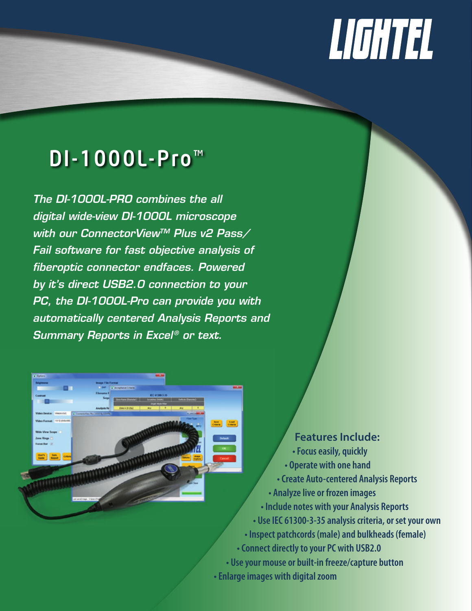## LIGHTEL

## DI-1000L-Pro™

*The DI-1000L-PRO combines the all digital wide-view DI-1000L microscope with our ConnectorViewTM Plus v2 Pass/ Fail software for fast objective analysis of fiberoptic connector endfaces. Powered by it's direct USB2.0 connection to your PC, the DI-1000L-Pro can provide you with automatically centered Analysis Reports and Summary Reports in Excel<sup>®</sup> or text.* 



 **Features Include: • Focus easily, quickly • Operate with one hand • Create Auto-centered Analysis Reports • Analyze live or frozen images • Include notes with your Analysis Reports • Use IEC 61300-3-35 analysis criteria, or set your own • Inspect patchcords (male) and bulkheads (female) • Connect directly to your PC with USB2.0 • Use your mouse or built-in freeze/capture button • Enlarge images with digital zoom**